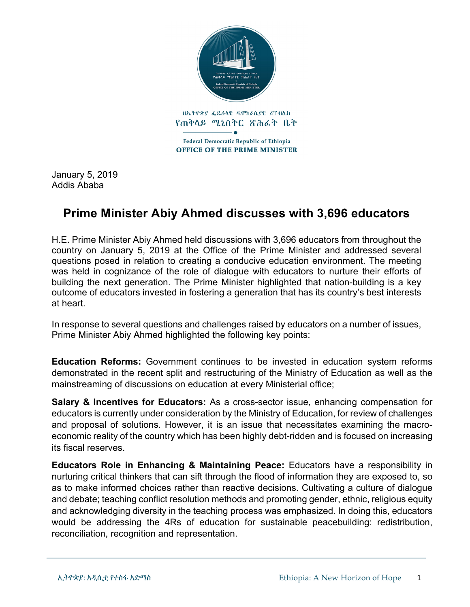

January 5, 2019 Addis Ababa

## **Prime Minister Abiy Ahmed discusses with 3,696 educators**

H.E. Prime Minister Abiy Ahmed held discussions with 3,696 educators from throughout the country on January 5, 2019 at the Office of the Prime Minister and addressed several questions posed in relation to creating a conducive education environment. The meeting was held in cognizance of the role of dialogue with educators to nurture their efforts of building the next generation. The Prime Minister highlighted that nation-building is a key outcome of educators invested in fostering a generation that has its country's best interests at heart.

In response to several questions and challenges raised by educators on a number of issues, Prime Minister Abiy Ahmed highlighted the following key points:

**Education Reforms:** Government continues to be invested in education system reforms demonstrated in the recent split and restructuring of the Ministry of Education as well as the mainstreaming of discussions on education at every Ministerial office;

**Salary & Incentives for Educators:** As a cross-sector issue, enhancing compensation for educators is currently under consideration by the Ministry of Education, for review of challenges and proposal of solutions. However, it is an issue that necessitates examining the macroeconomic reality of the country which has been highly debt-ridden and is focused on increasing its fiscal reserves.

**Educators Role in Enhancing & Maintaining Peace:** Educators have a responsibility in nurturing critical thinkers that can sift through the flood of information they are exposed to, so as to make informed choices rather than reactive decisions. Cultivating a culture of dialogue and debate; teaching conflict resolution methods and promoting gender, ethnic, religious equity and acknowledging diversity in the teaching process was emphasized. In doing this, educators would be addressing the 4Rs of education for sustainable peacebuilding: redistribution, reconciliation, recognition and representation.